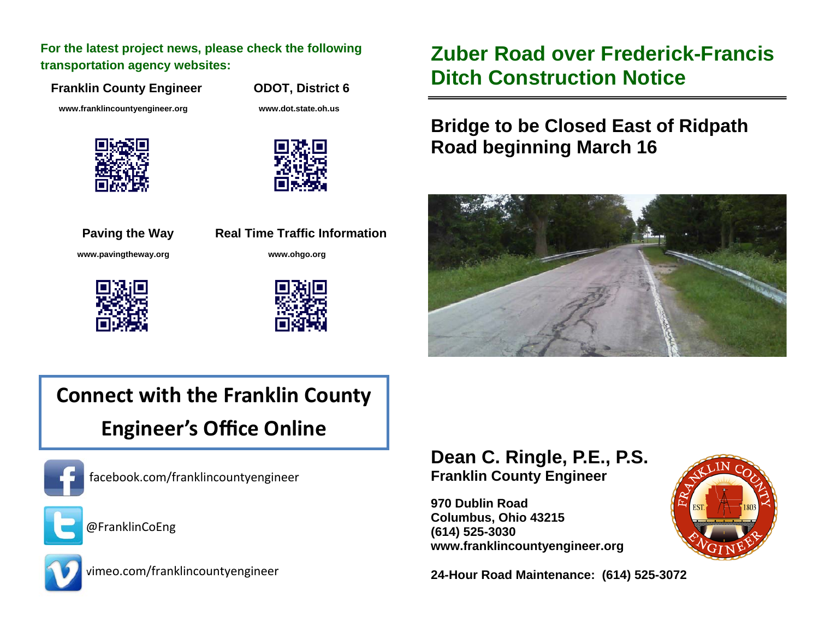**For the latest project news, please check the following transportation agency websites:** 

**Franklin County Engineer ODOT, District 6** 

 **www.franklincountyengineer.org www.dot.state.oh.us** 









**Paving the Way Real Time Traffic Information www.pavingtheway.org www.ohgo.org** 



## **Zuber Road over Frederick-Francis Ditch Construction Notice**

## **Bridge to be Closed East of Ridpath Road beginning March 16**



# **Connect with the Franklin County Engineer's O ffice Online**



facebook.com/franklincountyengineer



@FranklinCoEng



vimeo.com/franklincountyengineer

#### **Dean C. Ringle, P.E., P.S. Franklin County Engineer**

**970 Dublin Road Columbus, Ohio 43215 (614) 525-3030 www.franklincountyengineer.org** 

**24-Hour Road Maintenance: (614) 525-3072**